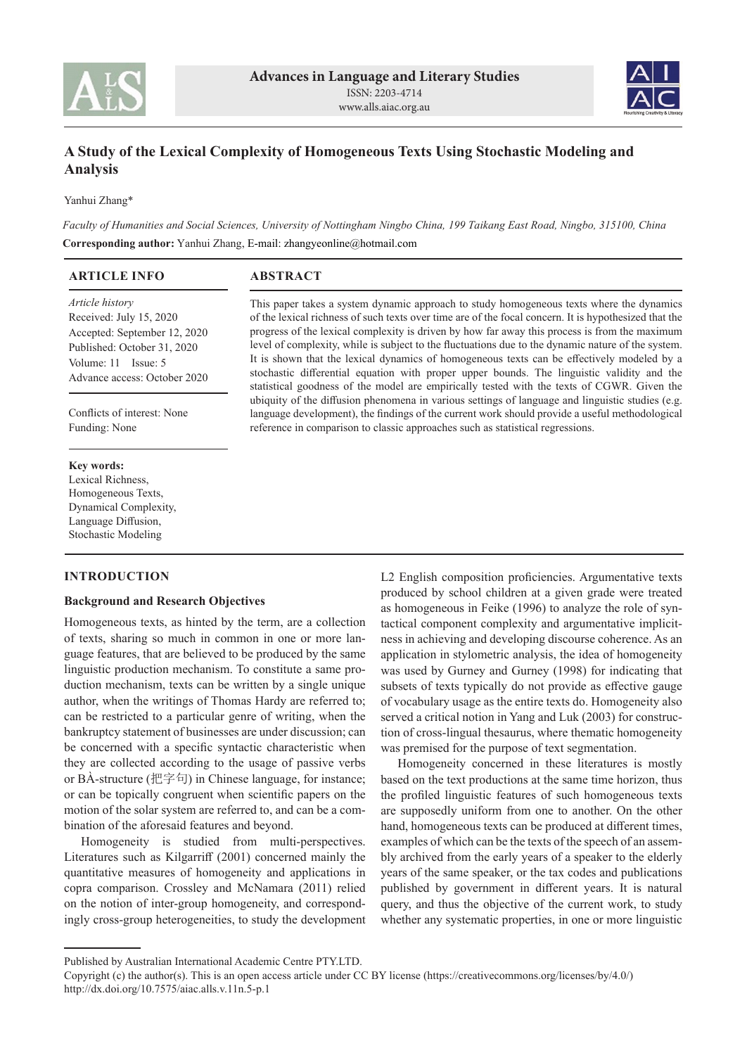



# **A Study of the Lexical Complexity of Homogeneous Texts Using Stochastic Modeling and Analysis**

Yanhui Zhang\*

*Faculty of Humanities and Social Sciences, University of Nottingham Ningbo China, 199 Taikang East Road, Ningbo, 315100, China* **Corresponding author:** Yanhui Zhang, E-mail: zhangyeonline@hotmail.com

| <b>ARTICLE INFO</b>            | <b>ABSTRACT</b>                                                                                       |  |  |
|--------------------------------|-------------------------------------------------------------------------------------------------------|--|--|
| <i>Article history</i>         | This paper takes a system dynamic approach to study homogeneous texts where the dynamics              |  |  |
| Received: July 15, 2020        | of the lexical richness of such texts over time are of the focal concern. It is hypothesized that the |  |  |
| Accepted: September 12, 2020   | progress of the lexical complexity is driven by how far away this process is from the maximum         |  |  |
| Published: October 31, 2020    | level of complexity, while is subject to the fluctuations due to the dynamic nature of the system.    |  |  |
| Volume: $11$ Issue: $5$        | It is shown that the lexical dynamics of homogeneous texts can be effectively modeled by a            |  |  |
| Advance geography October 2020 | stochastic differential equation with proper upper bounds. The linguistic validity and the            |  |  |

statistical goodness of the model are empirically tested with the texts of CGWR. Given the ubiquity of the diffusion phenomena in various settings of language and linguistic studies (e.g. language development), the findings of the current work should provide a useful methodological

reference in comparison to classic approaches such as statistical regressions.

Conflicts of interest: None Funding: None

Advance access: October 2020

#### **Key words:**

Lexical Richness, Homogeneous Texts, Dynamical Complexity, Language Diffusion, Stochastic Modeling

## **INTRODUCTION**

### **Background and Research Objectives**

Homogeneous texts, as hinted by the term, are a collection of texts, sharing so much in common in one or more language features, that are believed to be produced by the same linguistic production mechanism. To constitute a same production mechanism, texts can be written by a single unique author, when the writings of Thomas Hardy are referred to; can be restricted to a particular genre of writing, when the bankruptcy statement of businesses are under discussion; can be concerned with a specific syntactic characteristic when they are collected according to the usage of passive verbs or BÀ-structure (把字句) in Chinese language, for instance; or can be topically congruent when scientific papers on the motion of the solar system are referred to, and can be a combination of the aforesaid features and beyond.

Homogeneity is studied from multi-perspectives. Literatures such as Kilgarriff (2001) concerned mainly the quantitative measures of homogeneity and applications in copra comparison. Crossley and McNamara (2011) relied on the notion of inter-group homogeneity, and correspondingly cross-group heterogeneities, to study the development L2 English composition proficiencies. Argumentative texts produced by school children at a given grade were treated as homogeneous in Feike (1996) to analyze the role of syntactical component complexity and argumentative implicitness in achieving and developing discourse coherence. As an application in stylometric analysis, the idea of homogeneity was used by Gurney and Gurney (1998) for indicating that subsets of texts typically do not provide as effective gauge of vocabulary usage as the entire texts do. Homogeneity also served a critical notion in Yang and Luk (2003) for construction of cross-lingual thesaurus, where thematic homogeneity was premised for the purpose of text segmentation.

Homogeneity concerned in these literatures is mostly based on the text productions at the same time horizon, thus the profiled linguistic features of such homogeneous texts are supposedly uniform from one to another. On the other hand, homogeneous texts can be produced at different times, examples of which can be the texts of the speech of an assembly archived from the early years of a speaker to the elderly years of the same speaker, or the tax codes and publications published by government in different years. It is natural query, and thus the objective of the current work, to study whether any systematic properties, in one or more linguistic

Published by Australian International Academic Centre PTY.LTD.

Copyright (c) the author(s). This is an open access article under CC BY license (https://creativecommons.org/licenses/by/4.0/) http://dx.doi.org/10.7575/aiac.alls.v.11n.5‑p.1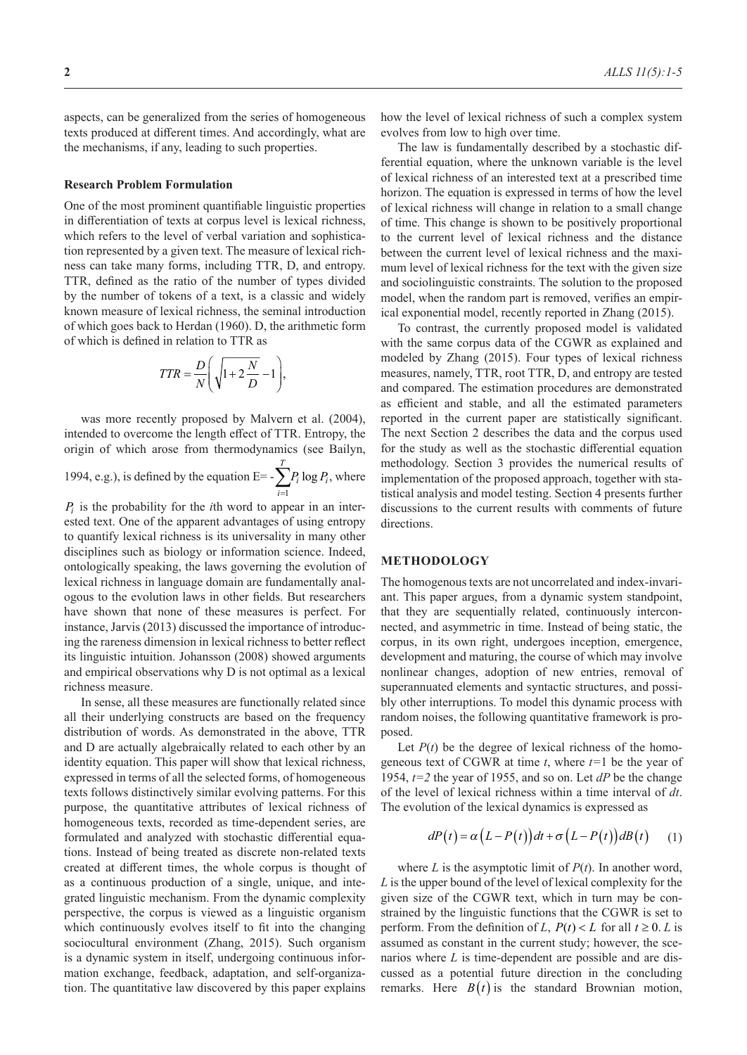aspects, can be generalized from the series of homogeneous texts produced at different times. And accordingly, what are the mechanisms, if any, leading to such properties.

#### **Research Problem Formulation**

One of the most prominent quantifiable linguistic properties in differentiation of texts at corpus level is lexical richness, which refers to the level of verbal variation and sophistication represented by a given text. The measure of lexical richness can take many forms, including TTR, D, and entropy. TTR, defined as the ratio of the number of types divided by the number of tokens of a text, is a classic and widely known measure of lexical richness, the seminal introduction of which goes back to Herdan (1960). D, the arithmetic form of which is defined in relation to TTR as

$$
TTR = \frac{D}{N} \left( \sqrt{1 + 2\frac{N}{D}} - 1 \right),
$$

was more recently proposed by Malvern et al. (2004), intended to overcome the length effect of TTR. Entropy, the origin of which arose from thermodynamics (see Bailyn, 1994, e.g.), is defined by the equation  $E=-$ *T*  $P_i \log P_i$  $\sum_{i=1}$  $\log P_i$ , where

*i*

*Pi* is the probability for the *i*th word to appear in an interested text. One of the apparent advantages of using entropy to quantify lexical richness is its universality in many other disciplines such as biology or information science. Indeed, ontologically speaking, the laws governing the evolution of lexical richness in language domain are fundamentally analogous to the evolution laws in other fields. But researchers have shown that none of these measures is perfect. For instance, Jarvis (2013) discussed the importance of introducing the rareness dimension in lexical richness to better reflect its linguistic intuition. Johansson (2008) showed arguments and empirical observations why D is not optimal as a lexical richness measure.

In sense, all these measures are functionally related since all their underlying constructs are based on the frequency distribution of words. As demonstrated in the above, TTR and D are actually algebraically related to each other by an identity equation. This paper will show that lexical richness, expressed in terms of all the selected forms, of homogeneous texts follows distinctively similar evolving patterns. For this purpose, the quantitative attributes of lexical richness of homogeneous texts, recorded as time-dependent series, are formulated and analyzed with stochastic differential equations. Instead of being treated as discrete non-related texts created at different times, the whole corpus is thought of as a continuous production of a single, unique, and integrated linguistic mechanism. From the dynamic complexity perspective, the corpus is viewed as a linguistic organism which continuously evolves itself to fit into the changing sociocultural environment (Zhang, 2015). Such organism is a dynamic system in itself, undergoing continuous information exchange, feedback, adaptation, and self-organization. The quantitative law discovered by this paper explains

how the level of lexical richness of such a complex system evolves from low to high over time.

The law is fundamentally described by a stochastic differential equation, where the unknown variable is the level of lexical richness of an interested text at a prescribed time horizon. The equation is expressed in terms of how the level of lexical richness will change in relation to a small change of time. This change is shown to be positively proportional to the current level of lexical richness and the distance between the current level of lexical richness and the maximum level of lexical richness for the text with the given size and sociolinguistic constraints. The solution to the proposed model, when the random part is removed, verifies an empirical exponential model, recently reported in Zhang (2015).

To contrast, the currently proposed model is validated with the same corpus data of the CGWR as explained and modeled by Zhang (2015). Four types of lexical richness measures, namely, TTR, root TTR, D, and entropy are tested and compared. The estimation procedures are demonstrated as efficient and stable, and all the estimated parameters reported in the current paper are statistically significant. The next Section 2 describes the data and the corpus used for the study as well as the stochastic differential equation methodology. Section 3 provides the numerical results of implementation of the proposed approach, together with statistical analysis and model testing. Section 4 presents further discussions to the current results with comments of future directions.

### **METHODOLOGY**

The homogenous texts are not uncorrelated and index-invariant. This paper argues, from a dynamic system standpoint, that they are sequentially related, continuously interconnected, and asymmetric in time. Instead of being static, the corpus, in its own right, undergoes inception, emergence, development and maturing, the course of which may involve nonlinear changes, adoption of new entries, removal of superannuated elements and syntactic structures, and possibly other interruptions. To model this dynamic process with random noises, the following quantitative framework is proposed.

Let  $P(t)$  be the degree of lexical richness of the homogeneous text of CGWR at time *t*, where *t=*1 be the year of 1954, *t=2* the year of 1955, and so on. Let *dP* be the change of the level of lexical richness within a time interval of *dt*. The evolution of the lexical dynamics is expressed as

$$
dP(t) = \alpha (L - P(t)) dt + \sigma (L - P(t)) dB(t) \qquad (1)
$$

where  $L$  is the asymptotic limit of  $P(t)$ . In another word, *L* is the upper bound of the level of lexical complexity for the given size of the CGWR text, which in turn may be constrained by the linguistic functions that the CGWR is set to perform. From the definition of *L*,  $P(t) < L$  for all  $t \ge 0$ . *L* is assumed as constant in the current study; however, the scenarios where *L* is time-dependent are possible and are discussed as a potential future direction in the concluding remarks. Here  $B(t)$  is the standard Brownian motion,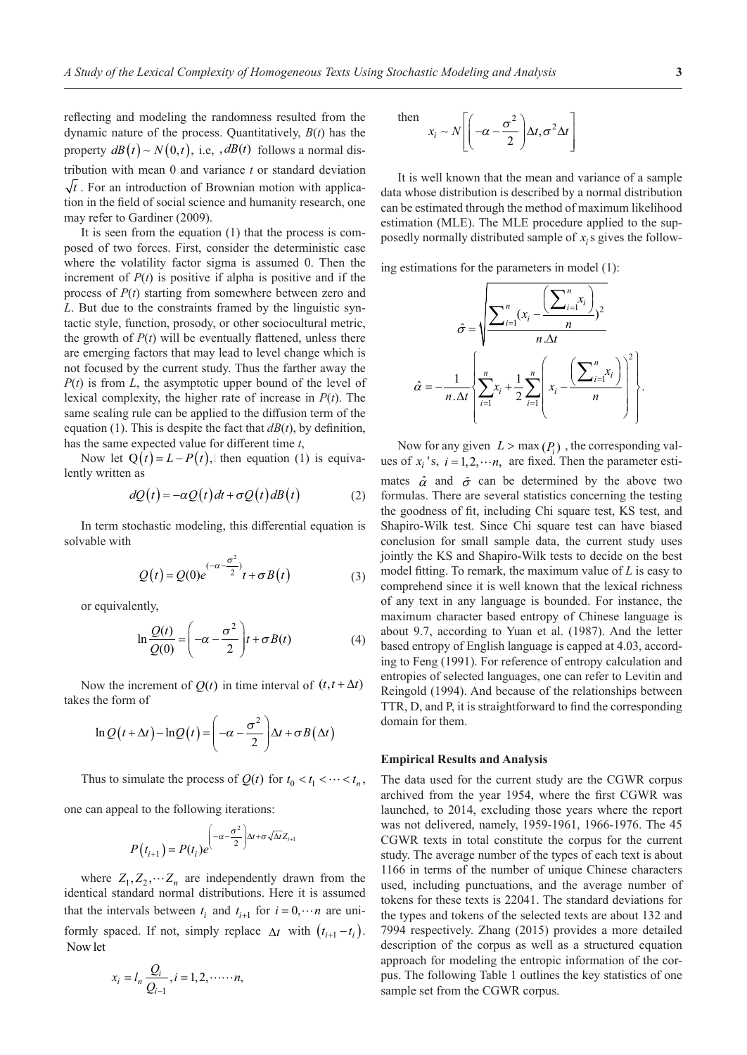reflecting and modeling the randomness resulted from the dynamic nature of the process. Quantitatively, *B*(*t*) has the property  $dB(t) \sim N(0,t)$ , i.e,  $dB(t)$  follows a normal distribution with mean 0 and variance *t* or standard deviation  $\sqrt{t}$ . For an introduction of Brownian motion with application in the field of social science and humanity research, one may refer to Gardiner (2009).

It is seen from the equation (1) that the process is composed of two forces. First, consider the deterministic case where the volatility factor sigma is assumed 0. Then the increment of  $P(t)$  is positive if alpha is positive and if the process of *P*(*t*) starting from somewhere between zero and *L*. But due to the constraints framed by the linguistic syntactic style, function, prosody, or other sociocultural metric, the growth of  $P(t)$  will be eventually flattened, unless there are emerging factors that may lead to level change which is not focused by the current study. Thus the farther away the *P*(*t*) is from *L*, the asymptotic upper bound of the level of lexical complexity, the higher rate of increase in *P*(*t*). The same scaling rule can be applied to the diffusion term of the equation (1). This is despite the fact that  $dB(t)$ , by definition, has the same expected value for different time *t*,

Now let  $Q(t) = L - P(t)$ , then equation (1) is equivalently written as

$$
dQ(t) = -\alpha Q(t) dt + \sigma Q(t) dB(t)
$$
 (2)

In term stochastic modeling, this differential equation is solvable with

$$
Q(t) = Q(0)e^{(-\alpha - \frac{\sigma^2}{2})}t + \sigma B(t)
$$
 (3)

or equivalently,

$$
\ln \frac{Q(t)}{Q(0)} = \left(-\alpha - \frac{\sigma^2}{2}\right)t + \sigma B(t) \tag{4}
$$

Now the increment of  $Q(t)$  in time interval of  $(t, t + \Delta t)$ takes the form of

$$
\ln Q(t + \Delta t) - \ln Q(t) = \left(-\alpha - \frac{\sigma^2}{2}\right) \Delta t + \sigma B(\Delta t)
$$

Thus to simulate the process of  $Q(t)$  for  $t_0 < t_1 < \cdots < t_n$ ,

one can appeal to the following iterations:

$$
P(t_{i+1}) = P(t_i)e^{-\frac{\sigma^2}{2} \Delta t + \sigma \sqrt{\Delta t}Z_{i+1}}
$$

where  $Z_1, Z_2, \cdots, Z_n$  are independently drawn from the identical standard normal distributions. Here it is assumed that the intervals between  $t_i$  and  $t_{i+1}$  for  $i = 0, \dots, n$  are uniformly spaced. If not, simply replace  $\Delta t$  with  $(t_{i+1} - t_i)$ . Now let

$$
x_i = l_n \frac{Q_i}{Q_{i-1}}, i = 1, 2, \dots \dots n,
$$

then 
$$
x_i \sim N \left[ \left( -\alpha - \frac{\sigma^2}{2} \right) \Delta t, \sigma^2 \Delta t \right]
$$

It is well known that the mean and variance of a sample data whose distribution is described by a normal distribution can be estimated through the method of maximum likelihood estimation (MLE). The MLE procedure applied to the supposedly normally distributed sample of *xi*s gives the follow-

ing estimations for the parameters in model (1):

$$
\hat{\sigma} = \sqrt{\frac{\sum_{i=1}^{n} (x_i - \frac{\left(\sum_{i=1}^{n} x_i\right)}{n}}{\sum_{i=1}^{n} x_i} \cdot \frac{1}{2} \sum_{i=1}^{n} \left(x_i - \frac{\left(\sum_{i=1}^{n} x_i\right)}{n}\right)^2}{\sum_{i=1}^{n} x_i} \cdot \frac{1}{2} \sum_{i=1}^{n} \left(x_i - \frac{\left(\sum_{i=1}^{n} x_i\right)}{n}\right)^2}{\sum_{i=1}^{n} x_i}.
$$

Now for any given  $L > \max(P_i)$ , the corresponding values of  $x_i$ 's,  $i = 1, 2, \dots n$ , are fixed. Then the parameter estimates  $\hat{\alpha}$  and  $\hat{\sigma}$  can be determined by the above two formulas. There are several statistics concerning the testing the goodness of fit, including Chi square test, KS test, and Shapiro-Wilk test. Since Chi square test can have biased conclusion for small sample data, the current study uses jointly the KS and Shapiro-Wilk tests to decide on the best model fitting. To remark, the maximum value of *L* is easy to comprehend since it is well known that the lexical richness of any text in any language is bounded. For instance, the maximum character based entropy of Chinese language is about 9.7, according to Yuan et al. (1987). And the letter based entropy of English language is capped at 4.03, according to Feng (1991). For reference of entropy calculation and entropies of selected languages, one can refer to Levitin and Reingold (1994). And because of the relationships between TTR, D, and P, it is straightforward to find the corresponding domain for them.

#### **Empirical Results and Analysis**

The data used for the current study are the CGWR corpus archived from the year 1954, where the first CGWR was launched, to 2014, excluding those years where the report was not delivered, namely, 1959-1961, 1966-1976. The 45 CGWR texts in total constitute the corpus for the current study. The average number of the types of each text is about 1166 in terms of the number of unique Chinese characters used, including punctuations, and the average number of tokens for these texts is 22041. The standard deviations for the types and tokens of the selected texts are about 132 and 7994 respectively. Zhang (2015) provides a more detailed description of the corpus as well as a structured equation approach for modeling the entropic information of the corpus. The following Table 1 outlines the key statistics of one sample set from the CGWR corpus.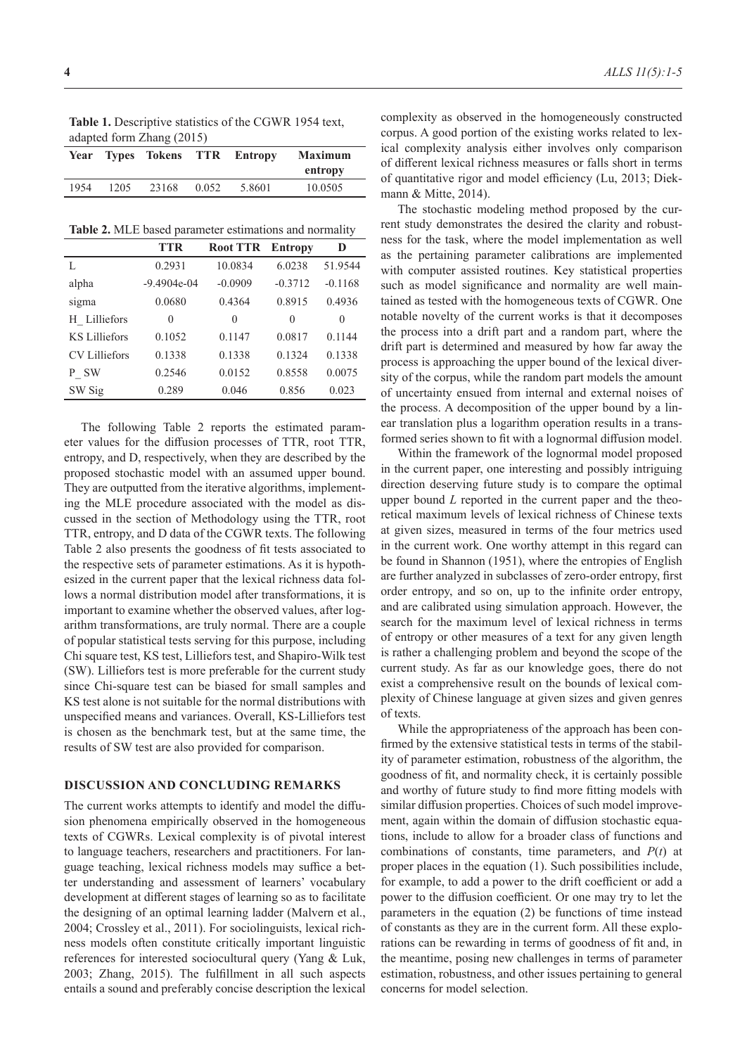**Table 1.** Descriptive statistics of the CGWR 1954 text, adapted form Zhang (2015)

|      |      |       |       | Year Types Tokens TTR Entropy | <b>Maximum</b><br>entropy |
|------|------|-------|-------|-------------------------------|---------------------------|
| 1954 | 1205 | 23168 | 0.052 | 5.8601                        | 10.0505                   |

**Table 2.** MLE based parameter estimations and normality

|                      | <b>TTR</b>    | <b>Root TTR</b> | <b>Entropy</b> | D         |
|----------------------|---------------|-----------------|----------------|-----------|
|                      | 0.2931        | 10.0834         | 6.0238         | 51.9544   |
| alpha                | $-9.4904e-04$ | $-0.0909$       | $-0.3712$      | $-0.1168$ |
| sigma                | 0.0680        | 0.4364          | 0.8915         | 0.4936    |
| H Lilliefors         | 0             | 0               | 0              | 0         |
| <b>KS Lilliefors</b> | 0.1052        | 0.1147          | 0.0817         | 0.1144    |
| <b>CV</b> Lilliefors | 0.1338        | 0.1338          | 0.1324         | 0.1338    |
| P SW                 | 0.2546        | 0.0152          | 0.8558         | 0.0075    |
| SW Sig               | 0.289         | 0.046           | 0.856          | 0.023     |

The following Table 2 reports the estimated parameter values for the diffusion processes of TTR, root TTR, entropy, and D, respectively, when they are described by the proposed stochastic model with an assumed upper bound. They are outputted from the iterative algorithms, implementing the MLE procedure associated with the model as discussed in the section of Methodology using the TTR, root TTR, entropy, and D data of the CGWR texts. The following Table 2 also presents the goodness of fit tests associated to the respective sets of parameter estimations. As it is hypothesized in the current paper that the lexical richness data follows a normal distribution model after transformations, it is important to examine whether the observed values, after logarithm transformations, are truly normal. There are a couple of popular statistical tests serving for this purpose, including Chi square test, KS test, Lilliefors test, and Shapiro-Wilk test (SW). Lilliefors test is more preferable for the current study since Chi-square test can be biased for small samples and KS test alone is not suitable for the normal distributions with unspecified means and variances. Overall, KS-Lilliefors test is chosen as the benchmark test, but at the same time, the results of SW test are also provided for comparison.

#### **DISCUSSION AND CONCLUDING REMARKS**

The current works attempts to identify and model the diffusion phenomena empirically observed in the homogeneous texts of CGWRs. Lexical complexity is of pivotal interest to language teachers, researchers and practitioners. For language teaching, lexical richness models may suffice a better understanding and assessment of learners' vocabulary development at different stages of learning so as to facilitate the designing of an optimal learning ladder (Malvern et al., 2004; Crossley et al., 2011). For sociolinguists, lexical richness models often constitute critically important linguistic references for interested sociocultural query (Yang & Luk, 2003; Zhang, 2015). The fulfillment in all such aspects entails a sound and preferably concise description the lexical

complexity as observed in the homogeneously constructed corpus. A good portion of the existing works related to lexical complexity analysis either involves only comparison of different lexical richness measures or falls short in terms of quantitative rigor and model efficiency (Lu, 2013; Diekmann & Mitte, 2014).

The stochastic modeling method proposed by the current study demonstrates the desired the clarity and robustness for the task, where the model implementation as well as the pertaining parameter calibrations are implemented with computer assisted routines. Key statistical properties such as model significance and normality are well maintained as tested with the homogeneous texts of CGWR. One notable novelty of the current works is that it decomposes the process into a drift part and a random part, where the drift part is determined and measured by how far away the process is approaching the upper bound of the lexical diversity of the corpus, while the random part models the amount of uncertainty ensued from internal and external noises of the process. A decomposition of the upper bound by a linear translation plus a logarithm operation results in a transformed series shown to fit with a lognormal diffusion model.

Within the framework of the lognormal model proposed in the current paper, one interesting and possibly intriguing direction deserving future study is to compare the optimal upper bound *L* reported in the current paper and the theoretical maximum levels of lexical richness of Chinese texts at given sizes, measured in terms of the four metrics used in the current work. One worthy attempt in this regard can be found in Shannon (1951), where the entropies of English are further analyzed in subclasses of zero-order entropy, first order entropy, and so on, up to the infinite order entropy, and are calibrated using simulation approach. However, the search for the maximum level of lexical richness in terms of entropy or other measures of a text for any given length is rather a challenging problem and beyond the scope of the current study. As far as our knowledge goes, there do not exist a comprehensive result on the bounds of lexical complexity of Chinese language at given sizes and given genres of texts.

While the appropriateness of the approach has been confirmed by the extensive statistical tests in terms of the stability of parameter estimation, robustness of the algorithm, the goodness of fit, and normality check, it is certainly possible and worthy of future study to find more fitting models with similar diffusion properties. Choices of such model improvement, again within the domain of diffusion stochastic equations, include to allow for a broader class of functions and combinations of constants, time parameters, and *P*(*t*) at proper places in the equation (1). Such possibilities include, for example, to add a power to the drift coefficient or add a power to the diffusion coefficient. Or one may try to let the parameters in the equation (2) be functions of time instead of constants as they are in the current form. All these explorations can be rewarding in terms of goodness of fit and, in the meantime, posing new challenges in terms of parameter estimation, robustness, and other issues pertaining to general concerns for model selection.